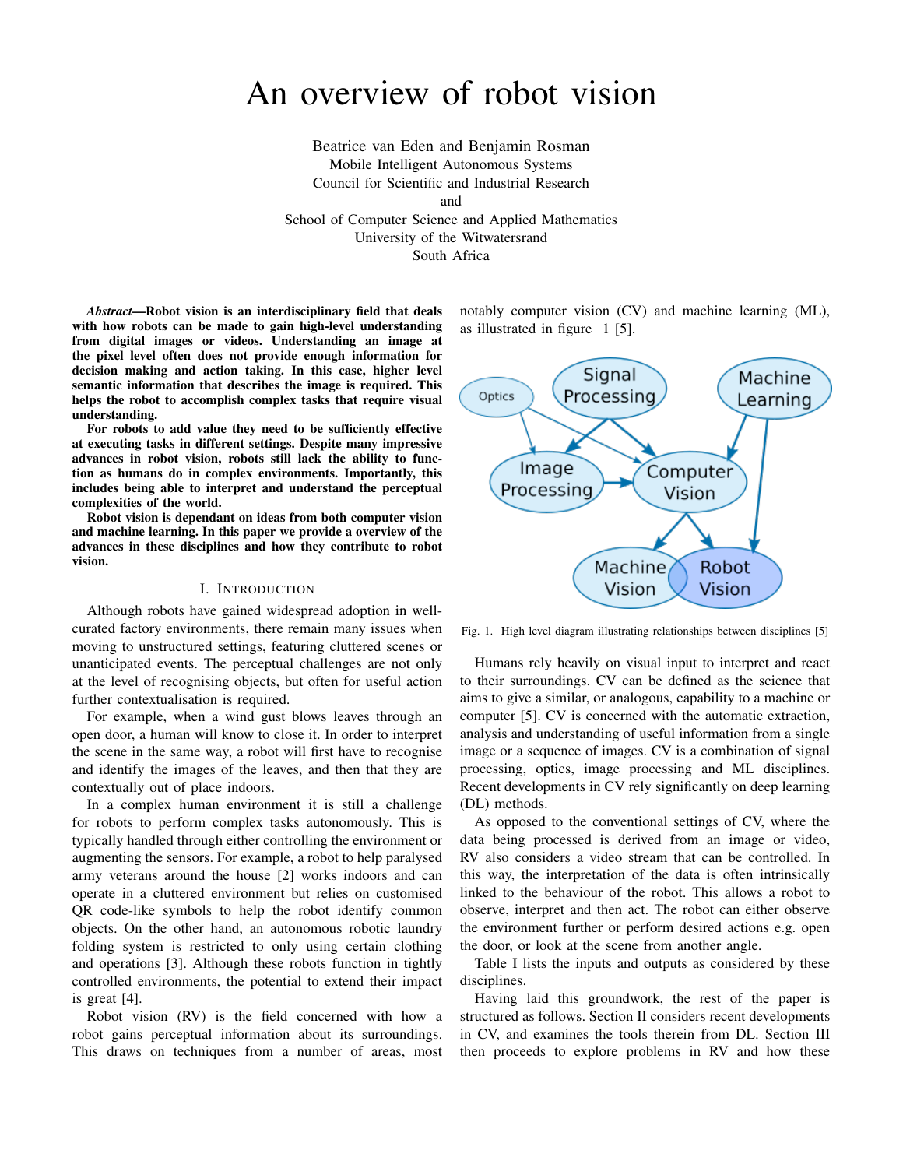# An overview of robot vision

Beatrice van Eden and Benjamin Rosman Mobile Intelligent Autonomous Systems Council for Scientific and Industrial Research and School of Computer Science and Applied Mathematics University of the Witwatersrand

South Africa

*Abstract*—Robot vision is an interdisciplinary field that deals with how robots can be made to gain high-level understanding from digital images or videos. Understanding an image at the pixel level often does not provide enough information for decision making and action taking. In this case, higher level semantic information that describes the image is required. This helps the robot to accomplish complex tasks that require visual understanding.

For robots to add value they need to be sufficiently effective at executing tasks in different settings. Despite many impressive advances in robot vision, robots still lack the ability to function as humans do in complex environments. Importantly, this includes being able to interpret and understand the perceptual complexities of the world.

Robot vision is dependant on ideas from both computer vision and machine learning. In this paper we provide a overview of the advances in these disciplines and how they contribute to robot vision.

## I. INTRODUCTION

Although robots have gained widespread adoption in wellcurated factory environments, there remain many issues when moving to unstructured settings, featuring cluttered scenes or unanticipated events. The perceptual challenges are not only at the level of recognising objects, but often for useful action further contextualisation is required.

For example, when a wind gust blows leaves through an open door, a human will know to close it. In order to interpret the scene in the same way, a robot will first have to recognise and identify the images of the leaves, and then that they are contextually out of place indoors.

In a complex human environment it is still a challenge for robots to perform complex tasks autonomously. This is typically handled through either controlling the environment or augmenting the sensors. For example, a robot to help paralysed army veterans around the house [2] works indoors and can operate in a cluttered environment but relies on customised QR code-like symbols to help the robot identify common objects. On the other hand, an autonomous robotic laundry folding system is restricted to only using certain clothing and operations [3]. Although these robots function in tightly controlled environments, the potential to extend their impact is great [4].

Robot vision (RV) is the field concerned with how a robot gains perceptual information about its surroundings. This draws on techniques from a number of areas, most notably computer vision (CV) and machine learning (ML), as illustrated in figure 1 [5].



Fig. 1. High level diagram illustrating relationships between disciplines [5]

Humans rely heavily on visual input to interpret and react to their surroundings. CV can be defined as the science that aims to give a similar, or analogous, capability to a machine or computer [5]. CV is concerned with the automatic extraction, analysis and understanding of useful information from a single image or a sequence of images. CV is a combination of signal processing, optics, image processing and ML disciplines. Recent developments in CV rely significantly on deep learning (DL) methods.

As opposed to the conventional settings of CV, where the data being processed is derived from an image or video, RV also considers a video stream that can be controlled. In this way, the interpretation of the data is often intrinsically linked to the behaviour of the robot. This allows a robot to observe, interpret and then act. The robot can either observe the environment further or perform desired actions e.g. open the door, or look at the scene from another angle.

Table I lists the inputs and outputs as considered by these disciplines.

Having laid this groundwork, the rest of the paper is structured as follows. Section II considers recent developments in CV, and examines the tools therein from DL. Section III then proceeds to explore problems in RV and how these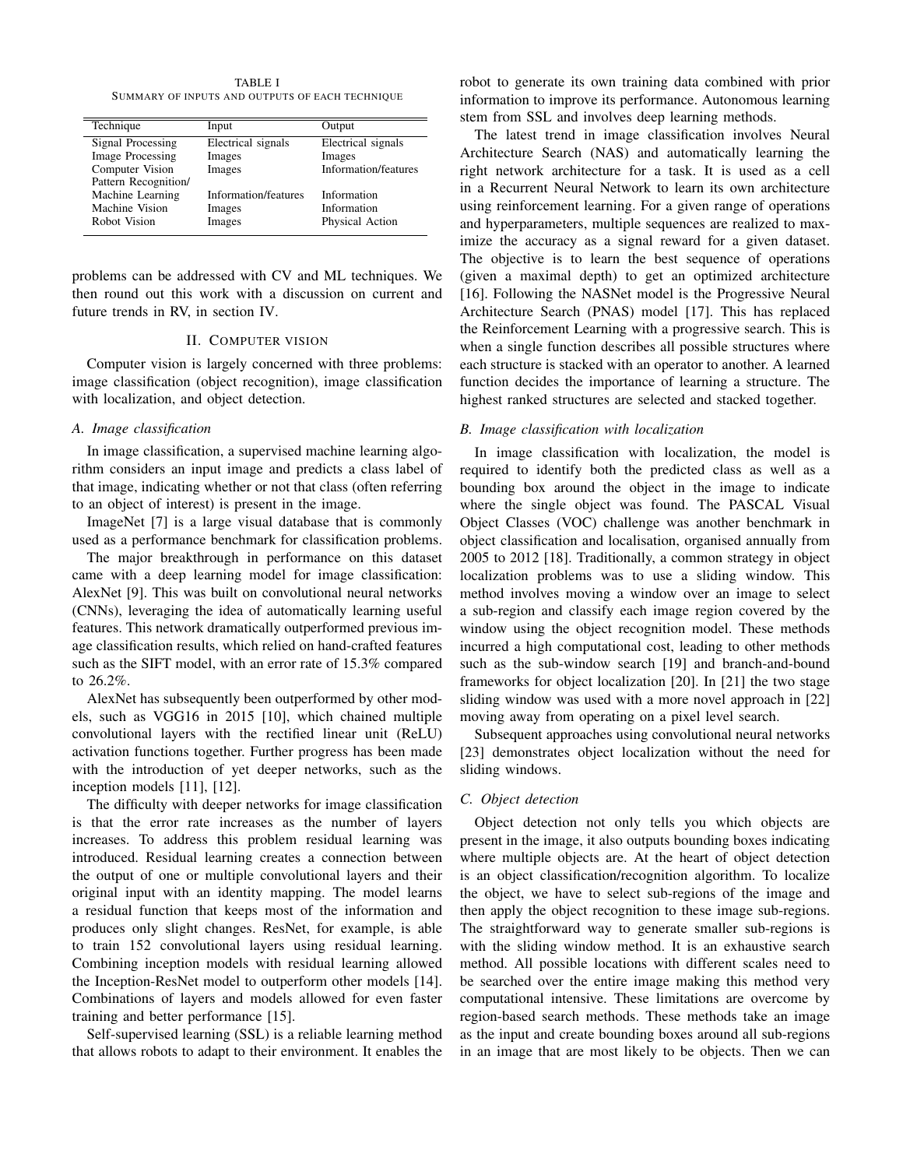TABLE I SUMMARY OF INPUTS AND OUTPUTS OF EACH TECHNIQUE

| Technique               | Input                | Output               |
|-------------------------|----------------------|----------------------|
| Signal Processing       | Electrical signals   | Electrical signals   |
| <b>Image Processing</b> | Images               | Images               |
| <b>Computer Vision</b>  | Images               | Information/features |
| Pattern Recognition/    |                      |                      |
| Machine Learning        | Information/features | Information          |
| Machine Vision          | Images               | Information          |
| Robot Vision            | Images               | Physical Action      |

problems can be addressed with CV and ML techniques. We then round out this work with a discussion on current and future trends in RV, in section IV.

#### II. COMPUTER VISION

Computer vision is largely concerned with three problems: image classification (object recognition), image classification with localization, and object detection.

## *A. Image classification*

In image classification, a supervised machine learning algorithm considers an input image and predicts a class label of that image, indicating whether or not that class (often referring to an object of interest) is present in the image.

ImageNet [7] is a large visual database that is commonly used as a performance benchmark for classification problems.

The major breakthrough in performance on this dataset came with a deep learning model for image classification: AlexNet [9]. This was built on convolutional neural networks (CNNs), leveraging the idea of automatically learning useful features. This network dramatically outperformed previous image classification results, which relied on hand-crafted features such as the SIFT model, with an error rate of 15.3% compared to 26.2%.

AlexNet has subsequently been outperformed by other models, such as VGG16 in 2015 [10], which chained multiple convolutional layers with the rectified linear unit (ReLU) activation functions together. Further progress has been made with the introduction of yet deeper networks, such as the inception models [11], [12].

The difficulty with deeper networks for image classification is that the error rate increases as the number of layers increases. To address this problem residual learning was introduced. Residual learning creates a connection between the output of one or multiple convolutional layers and their original input with an identity mapping. The model learns a residual function that keeps most of the information and produces only slight changes. ResNet, for example, is able to train 152 convolutional layers using residual learning. Combining inception models with residual learning allowed the Inception-ResNet model to outperform other models [14]. Combinations of layers and models allowed for even faster training and better performance [15].

Self-supervised learning (SSL) is a reliable learning method that allows robots to adapt to their environment. It enables the robot to generate its own training data combined with prior information to improve its performance. Autonomous learning stem from SSL and involves deep learning methods.

The latest trend in image classification involves Neural Architecture Search (NAS) and automatically learning the right network architecture for a task. It is used as a cell in a Recurrent Neural Network to learn its own architecture using reinforcement learning. For a given range of operations and hyperparameters, multiple sequences are realized to maximize the accuracy as a signal reward for a given dataset. The objective is to learn the best sequence of operations (given a maximal depth) to get an optimized architecture [16]. Following the NASNet model is the Progressive Neural Architecture Search (PNAS) model [17]. This has replaced the Reinforcement Learning with a progressive search. This is when a single function describes all possible structures where each structure is stacked with an operator to another. A learned function decides the importance of learning a structure. The highest ranked structures are selected and stacked together.

## *B. Image classification with localization*

In image classification with localization, the model is required to identify both the predicted class as well as a bounding box around the object in the image to indicate where the single object was found. The PASCAL Visual Object Classes (VOC) challenge was another benchmark in object classification and localisation, organised annually from 2005 to 2012 [18]. Traditionally, a common strategy in object localization problems was to use a sliding window. This method involves moving a window over an image to select a sub-region and classify each image region covered by the window using the object recognition model. These methods incurred a high computational cost, leading to other methods such as the sub-window search [19] and branch-and-bound frameworks for object localization [20]. In [21] the two stage sliding window was used with a more novel approach in [22] moving away from operating on a pixel level search.

Subsequent approaches using convolutional neural networks [23] demonstrates object localization without the need for sliding windows.

#### *C. Object detection*

Object detection not only tells you which objects are present in the image, it also outputs bounding boxes indicating where multiple objects are. At the heart of object detection is an object classification/recognition algorithm. To localize the object, we have to select sub-regions of the image and then apply the object recognition to these image sub-regions. The straightforward way to generate smaller sub-regions is with the sliding window method. It is an exhaustive search method. All possible locations with different scales need to be searched over the entire image making this method very computational intensive. These limitations are overcome by region-based search methods. These methods take an image as the input and create bounding boxes around all sub-regions in an image that are most likely to be objects. Then we can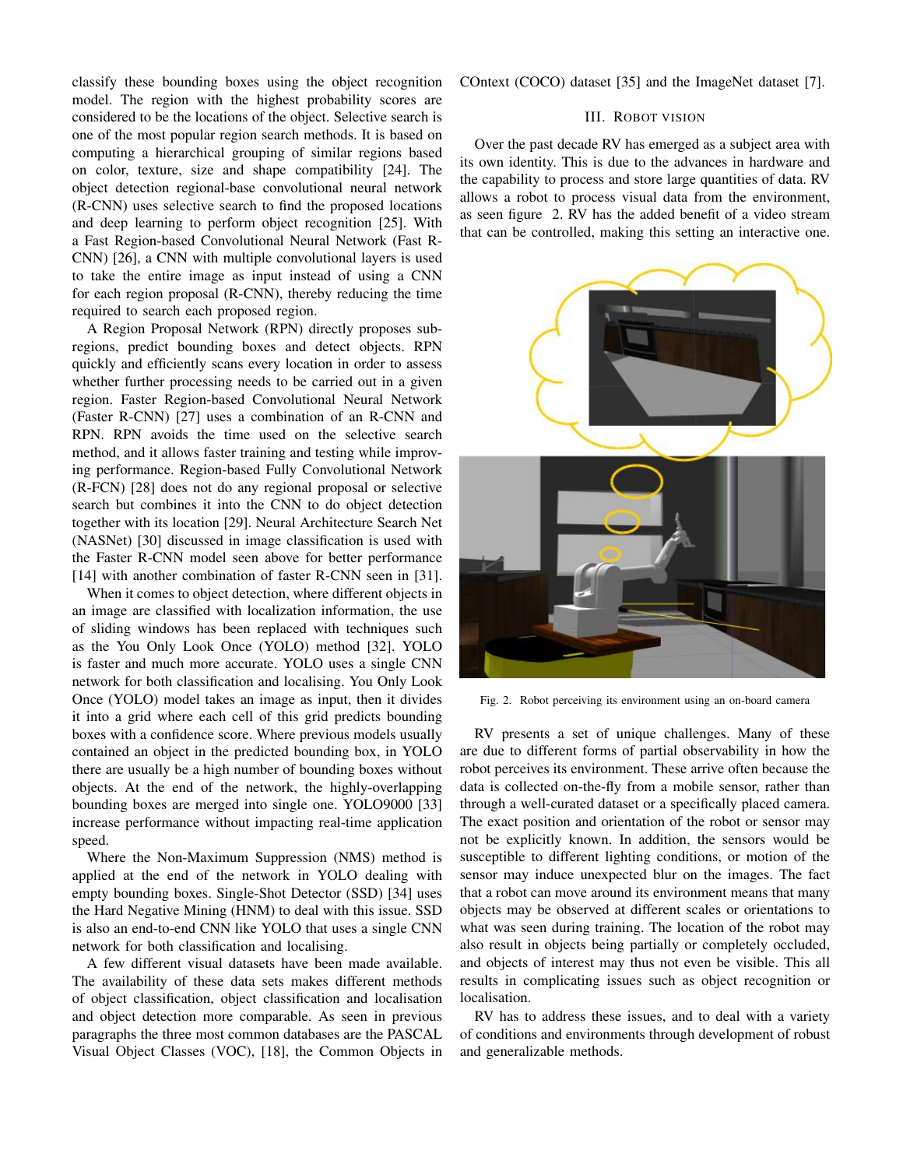classify these bounding boxes using the object recognition model. The region with the highest probability scores are considered to be the locations of the object. Selective search is one of the most popular region search methods. It is based on computing a hierarchical grouping of similar regions based on color, texture, size and shape compatibility [24]. The object detection regional-base convolutional neural network (R-CNN) uses selective search to find the proposed locations and deep learning to perform object recognition [25]. With a Fast Region-based Convolutional Neural Network (Fast R-CNN) [26], a CNN with multiple convolutional layers is used to take the entire image as input instead of using a CNN for each region proposal (R-CNN), thereby reducing the time required to search each proposed region.

A Region Proposal Network (RPN) directly proposes subregions, predict bounding boxes and detect objects. RPN quickly and efficiently scans every location in order to assess whether further processing needs to be carried out in a given region. Faster Region-based Convolutional Neural Network (Faster R-CNN) [27] uses a combination of an R-CNN and RPN. RPN avoids the time used on the selective search method, and it allows faster training and testing while improving performance. Region-based Fully Convolutional Network (R-FCN) [28] does not do any regional proposal or selective search but combines it into the CNN to do object detection together with its location [29]. Neural Architecture Search Net (NASNet) [30] discussed in image classification is used with the Faster R-CNN model seen above for better performance [14] with another combination of faster R-CNN seen in [31].

When it comes to object detection, where different objects in an image are classified with localization information, the use of sliding windows has been replaced with techniques such as the You Only Look Once (YOLO) method [32]. YOLO is faster and much more accurate. YOLO uses a single CNN network for both classification and localising. You Only Look Once (YOLO) model takes an image as input, then it divides it into a grid where each cell of this grid predicts bounding boxes with a confidence score. Where previous models usually contained an object in the predicted bounding box, in YOLO there are usually be a high number of bounding boxes without objects. At the end of the network, the highly-overlapping bounding boxes are merged into single one. YOLO9000 [33] increase performance without impacting real-time application speed.

Where the Non-Maximum Suppression (NMS) method is applied at the end of the network in YOLO dealing with empty bounding boxes. Single-Shot Detector (SSD) [34] uses the Hard Negative Mining (HNM) to deal with this issue. SSD is also an end-to-end CNN like YOLO that uses a single CNN network for both classification and localising.

A few different visual datasets have been made available. The availability of these data sets makes different methods of object classification, object classification and localisation and object detection more comparable. As seen in previous paragraphs the three most common databases are the PASCAL Visual Object Classes (VOC), [18], the Common Objects in COntext (COCO) dataset [35] and the ImageNet dataset [7].

#### III. ROBOT VISION

Over the past decade RV has emerged as a subject area with its own identity. This is due to the advances in hardware and the capability to process and store large quantities of data. RV allows a robot to process visual data from the environment, as seen figure 2. RV has the added benefit of a video stream that can be controlled, making this setting an interactive one.



Fig. 2. Robot perceiving its environment using an on-board camera

RV presents a set of unique challenges. Many of these are due to different forms of partial observability in how the robot perceives its environment. These arrive often because the data is collected on-the-fly from a mobile sensor, rather than through a well-curated dataset or a specifically placed camera. The exact position and orientation of the robot or sensor may not be explicitly known. In addition, the sensors would be susceptible to different lighting conditions, or motion of the sensor may induce unexpected blur on the images. The fact that a robot can move around its environment means that many objects may be observed at different scales or orientations to what was seen during training. The location of the robot may also result in objects being partially or completely occluded, and objects of interest may thus not even be visible. This all results in complicating issues such as object recognition or localisation.

RV has to address these issues, and to deal with a variety of conditions and environments through development of robust and generalizable methods.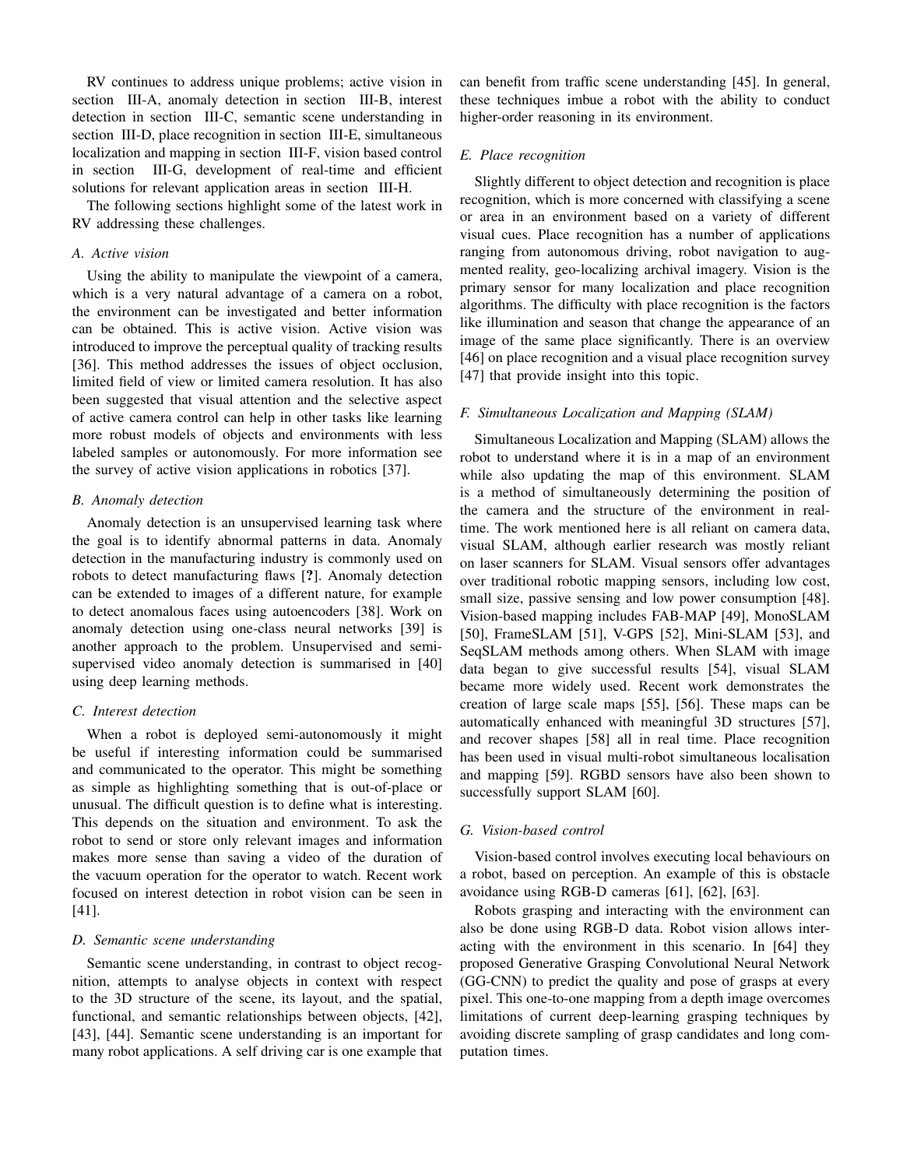RV continues to address unique problems; active vision in section III-A, anomaly detection in section III-B, interest detection in section III-C, semantic scene understanding in section III-D, place recognition in section III-E, simultaneous localization and mapping in section III-F, vision based control in section III-G, development of real-time and efficient solutions for relevant application areas in section III-H.

The following sections highlight some of the latest work in RV addressing these challenges.

#### *A. Active vision*

Using the ability to manipulate the viewpoint of a camera, which is a very natural advantage of a camera on a robot, the environment can be investigated and better information can be obtained. This is active vision. Active vision was introduced to improve the perceptual quality of tracking results [36]. This method addresses the issues of object occlusion, limited field of view or limited camera resolution. It has also been suggested that visual attention and the selective aspect of active camera control can help in other tasks like learning more robust models of objects and environments with less labeled samples or autonomously. For more information see the survey of active vision applications in robotics [37].

#### *B. Anomaly detection*

Anomaly detection is an unsupervised learning task where the goal is to identify abnormal patterns in data. Anomaly detection in the manufacturing industry is commonly used on robots to detect manufacturing flaws [?]. Anomaly detection can be extended to images of a different nature, for example to detect anomalous faces using autoencoders [38]. Work on anomaly detection using one-class neural networks [39] is another approach to the problem. Unsupervised and semisupervised video anomaly detection is summarised in [40] using deep learning methods.

## *C. Interest detection*

When a robot is deployed semi-autonomously it might be useful if interesting information could be summarised and communicated to the operator. This might be something as simple as highlighting something that is out-of-place or unusual. The difficult question is to define what is interesting. This depends on the situation and environment. To ask the robot to send or store only relevant images and information makes more sense than saving a video of the duration of the vacuum operation for the operator to watch. Recent work focused on interest detection in robot vision can be seen in [41].

#### *D. Semantic scene understanding*

Semantic scene understanding, in contrast to object recognition, attempts to analyse objects in context with respect to the 3D structure of the scene, its layout, and the spatial, functional, and semantic relationships between objects, [42], [43], [44]. Semantic scene understanding is an important for many robot applications. A self driving car is one example that can benefit from traffic scene understanding [45]. In general, these techniques imbue a robot with the ability to conduct higher-order reasoning in its environment.

## *E. Place recognition*

Slightly different to object detection and recognition is place recognition, which is more concerned with classifying a scene or area in an environment based on a variety of different visual cues. Place recognition has a number of applications ranging from autonomous driving, robot navigation to augmented reality, geo-localizing archival imagery. Vision is the primary sensor for many localization and place recognition algorithms. The difficulty with place recognition is the factors like illumination and season that change the appearance of an image of the same place significantly. There is an overview [46] on place recognition and a visual place recognition survey [47] that provide insight into this topic.

## *F. Simultaneous Localization and Mapping (SLAM)*

Simultaneous Localization and Mapping (SLAM) allows the robot to understand where it is in a map of an environment while also updating the map of this environment. SLAM is a method of simultaneously determining the position of the camera and the structure of the environment in realtime. The work mentioned here is all reliant on camera data, visual SLAM, although earlier research was mostly reliant on laser scanners for SLAM. Visual sensors offer advantages over traditional robotic mapping sensors, including low cost, small size, passive sensing and low power consumption [48]. Vision-based mapping includes FAB-MAP [49], MonoSLAM [50], FrameSLAM [51], V-GPS [52], Mini-SLAM [53], and SeqSLAM methods among others. When SLAM with image data began to give successful results [54], visual SLAM became more widely used. Recent work demonstrates the creation of large scale maps [55], [56]. These maps can be automatically enhanced with meaningful 3D structures [57], and recover shapes [58] all in real time. Place recognition has been used in visual multi-robot simultaneous localisation and mapping [59]. RGBD sensors have also been shown to successfully support SLAM [60].

#### *G. Vision-based control*

Vision-based control involves executing local behaviours on a robot, based on perception. An example of this is obstacle avoidance using RGB-D cameras [61], [62], [63].

Robots grasping and interacting with the environment can also be done using RGB-D data. Robot vision allows interacting with the environment in this scenario. In [64] they proposed Generative Grasping Convolutional Neural Network (GG-CNN) to predict the quality and pose of grasps at every pixel. This one-to-one mapping from a depth image overcomes limitations of current deep-learning grasping techniques by avoiding discrete sampling of grasp candidates and long computation times.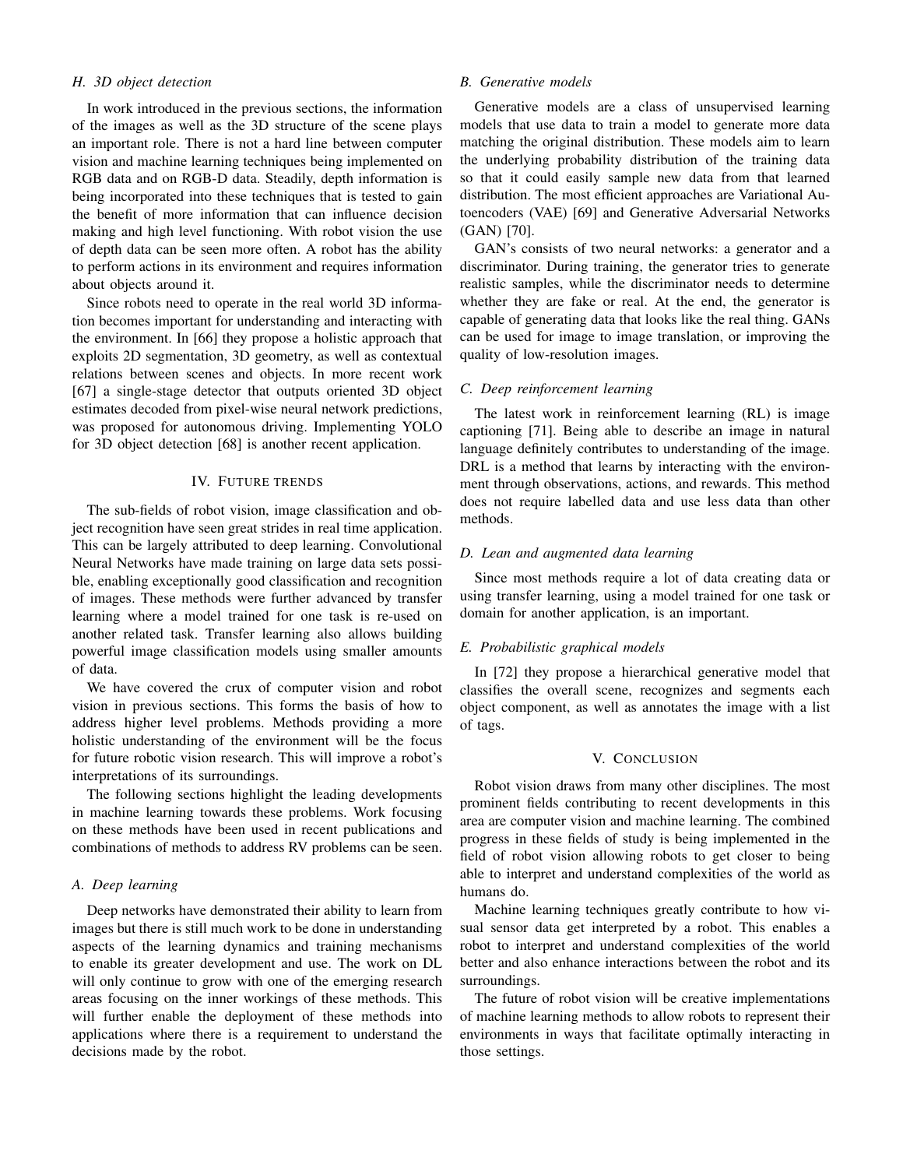# *H. 3D object detection*

In work introduced in the previous sections, the information of the images as well as the 3D structure of the scene plays an important role. There is not a hard line between computer vision and machine learning techniques being implemented on RGB data and on RGB-D data. Steadily, depth information is being incorporated into these techniques that is tested to gain the benefit of more information that can influence decision making and high level functioning. With robot vision the use of depth data can be seen more often. A robot has the ability to perform actions in its environment and requires information about objects around it.

Since robots need to operate in the real world 3D information becomes important for understanding and interacting with the environment. In [66] they propose a holistic approach that exploits 2D segmentation, 3D geometry, as well as contextual relations between scenes and objects. In more recent work [67] a single-stage detector that outputs oriented 3D object estimates decoded from pixel-wise neural network predictions, was proposed for autonomous driving. Implementing YOLO for 3D object detection [68] is another recent application.

## IV. FUTURE TRENDS

The sub-fields of robot vision, image classification and object recognition have seen great strides in real time application. This can be largely attributed to deep learning. Convolutional Neural Networks have made training on large data sets possible, enabling exceptionally good classification and recognition of images. These methods were further advanced by transfer learning where a model trained for one task is re-used on another related task. Transfer learning also allows building powerful image classification models using smaller amounts of data.

We have covered the crux of computer vision and robot vision in previous sections. This forms the basis of how to address higher level problems. Methods providing a more holistic understanding of the environment will be the focus for future robotic vision research. This will improve a robot's interpretations of its surroundings.

The following sections highlight the leading developments in machine learning towards these problems. Work focusing on these methods have been used in recent publications and combinations of methods to address RV problems can be seen.

## *A. Deep learning*

Deep networks have demonstrated their ability to learn from images but there is still much work to be done in understanding aspects of the learning dynamics and training mechanisms to enable its greater development and use. The work on DL will only continue to grow with one of the emerging research areas focusing on the inner workings of these methods. This will further enable the deployment of these methods into applications where there is a requirement to understand the decisions made by the robot.

## *B. Generative models*

Generative models are a class of unsupervised learning models that use data to train a model to generate more data matching the original distribution. These models aim to learn the underlying probability distribution of the training data so that it could easily sample new data from that learned distribution. The most efficient approaches are Variational Autoencoders (VAE) [69] and Generative Adversarial Networks (GAN) [70].

GAN's consists of two neural networks: a generator and a discriminator. During training, the generator tries to generate realistic samples, while the discriminator needs to determine whether they are fake or real. At the end, the generator is capable of generating data that looks like the real thing. GANs can be used for image to image translation, or improving the quality of low-resolution images.

## *C. Deep reinforcement learning*

The latest work in reinforcement learning (RL) is image captioning [71]. Being able to describe an image in natural language definitely contributes to understanding of the image. DRL is a method that learns by interacting with the environment through observations, actions, and rewards. This method does not require labelled data and use less data than other methods.

## *D. Lean and augmented data learning*

Since most methods require a lot of data creating data or using transfer learning, using a model trained for one task or domain for another application, is an important.

## *E. Probabilistic graphical models*

In [72] they propose a hierarchical generative model that classifies the overall scene, recognizes and segments each object component, as well as annotates the image with a list of tags.

#### V. CONCLUSION

Robot vision draws from many other disciplines. The most prominent fields contributing to recent developments in this area are computer vision and machine learning. The combined progress in these fields of study is being implemented in the field of robot vision allowing robots to get closer to being able to interpret and understand complexities of the world as humans do.

Machine learning techniques greatly contribute to how visual sensor data get interpreted by a robot. This enables a robot to interpret and understand complexities of the world better and also enhance interactions between the robot and its surroundings.

The future of robot vision will be creative implementations of machine learning methods to allow robots to represent their environments in ways that facilitate optimally interacting in those settings.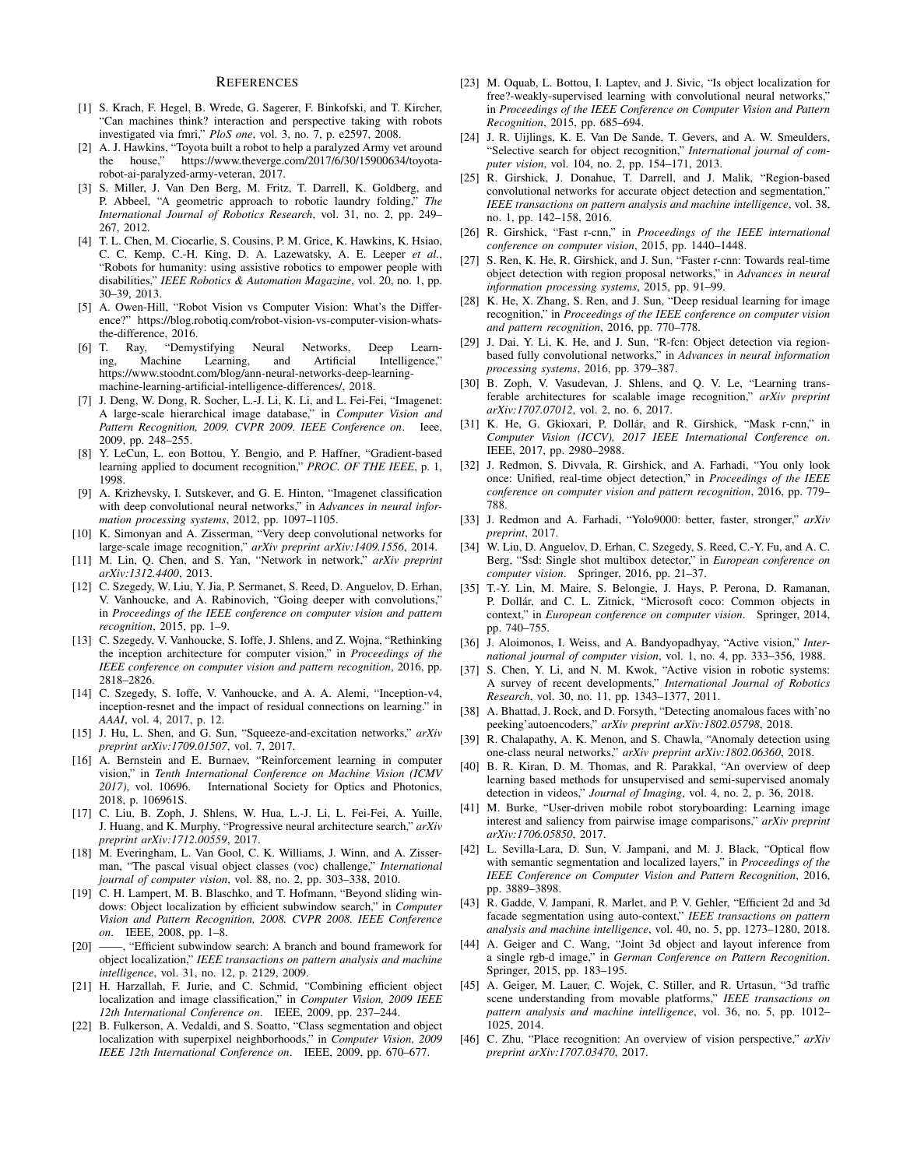#### **REFERENCES**

- [1] S. Krach, F. Hegel, B. Wrede, G. Sagerer, F. Binkofski, and T. Kircher, "Can machines think? interaction and perspective taking with robots investigated via fmri," *PloS one*, vol. 3, no. 7, p. e2597, 2008.
- [2] A. J. Hawkins, "Toyota built a robot to help a paralyzed Army vet around the house." https://www.theverge.com/2017/6/30/15900634/toyotahttps://www.theverge.com/2017/6/30/15900634/toyotarobot-ai-paralyzed-army-veteran, 2017.
- [3] S. Miller, J. Van Den Berg, M. Fritz, T. Darrell, K. Goldberg, and P. Abbeel, "A geometric approach to robotic laundry folding," *The International Journal of Robotics Research*, vol. 31, no. 2, pp. 249– 267, 2012.
- [4] T. L. Chen, M. Ciocarlie, S. Cousins, P. M. Grice, K. Hawkins, K. Hsiao, C. C. Kemp, C.-H. King, D. A. Lazewatsky, A. E. Leeper *et al.*, "Robots for humanity: using assistive robotics to empower people with disabilities," *IEEE Robotics & Automation Magazine*, vol. 20, no. 1, pp. 30–39, 2013.
- [5] A. Owen-Hill, "Robot Vision vs Computer Vision: What's the Difference?" https://blog.robotiq.com/robot-vision-vs-computer-vision-whatsthe-difference, 2016.
- [6] T. Ray, "Demystifying Neural Networks, Deep Learning, Machine Learning, and Artificial Intelligence," https://www.stoodnt.com/blog/ann-neural-networks-deep-learningmachine-learning-artificial-intelligence-differences/, 2018.
- [7] J. Deng, W. Dong, R. Socher, L.-J. Li, K. Li, and L. Fei-Fei, "Imagenet: A large-scale hierarchical image database," in *Computer Vision and Pattern Recognition, 2009. CVPR 2009. IEEE Conference on*. Ieee, 2009, pp. 248–255.
- [8] Y. LeCun, L. eon Bottou, Y. Bengio, and P. Haffner, "Gradient-based learning applied to document recognition," *PROC. OF THE IEEE*, p. 1, 1998.
- [9] A. Krizhevsky, I. Sutskever, and G. E. Hinton, "Imagenet classification with deep convolutional neural networks," in *Advances in neural information processing systems*, 2012, pp. 1097–1105.
- [10] K. Simonyan and A. Zisserman, "Very deep convolutional networks for large-scale image recognition," *arXiv preprint arXiv:1409.1556*, 2014.
- [11] M. Lin, Q. Chen, and S. Yan, "Network in network," *arXiv preprint arXiv:1312.4400*, 2013.
- [12] C. Szegedy, W. Liu, Y. Jia, P. Sermanet, S. Reed, D. Anguelov, D. Erhan, V. Vanhoucke, and A. Rabinovich, "Going deeper with convolutions," in *Proceedings of the IEEE conference on computer vision and pattern recognition*, 2015, pp. 1–9.
- [13] C. Szegedy, V. Vanhoucke, S. Ioffe, J. Shlens, and Z. Wojna, "Rethinking the inception architecture for computer vision," in *Proceedings of the IEEE conference on computer vision and pattern recognition*, 2016, pp. 2818–2826.
- [14] C. Szegedy, S. Ioffe, V. Vanhoucke, and A. A. Alemi, "Inception-v4, inception-resnet and the impact of residual connections on learning." in *AAAI*, vol. 4, 2017, p. 12.
- [15] J. Hu, L. Shen, and G. Sun, "Squeeze-and-excitation networks," *arXiv preprint arXiv:1709.01507*, vol. 7, 2017.
- [16] A. Bernstein and E. Burnaev, "Reinforcement learning in computer vision," in *Tenth International Conference on Machine Vision (ICMV 2017)*, vol. 10696. International Society for Optics and Photonics, 2018, p. 106961S.
- [17] C. Liu, B. Zoph, J. Shlens, W. Hua, L.-J. Li, L. Fei-Fei, A. Yuille, J. Huang, and K. Murphy, "Progressive neural architecture search," *arXiv preprint arXiv:1712.00559*, 2017.
- [18] M. Everingham, L. Van Gool, C. K. Williams, J. Winn, and A. Zisserman, "The pascal visual object classes (voc) challenge," *International journal of computer vision*, vol. 88, no. 2, pp. 303–338, 2010.
- [19] C. H. Lampert, M. B. Blaschko, and T. Hofmann, "Beyond sliding windows: Object localization by efficient subwindow search," in *Computer Vision and Pattern Recognition, 2008. CVPR 2008. IEEE Conference on*. IEEE, 2008, pp. 1–8.
- [20] ——, "Efficient subwindow search: A branch and bound framework for object localization," *IEEE transactions on pattern analysis and machine intelligence*, vol. 31, no. 12, p. 2129, 2009.
- [21] H. Harzallah, F. Jurie, and C. Schmid, "Combining efficient object localization and image classification," in *Computer Vision, 2009 IEEE 12th International Conference on*. IEEE, 2009, pp. 237–244.
- [22] B. Fulkerson, A. Vedaldi, and S. Soatto, "Class segmentation and object localization with superpixel neighborhoods," in *Computer Vision, 2009 IEEE 12th International Conference on*. IEEE, 2009, pp. 670–677.
- [23] M. Oquab, L. Bottou, I. Laptev, and J. Sivic, "Is object localization for free?-weakly-supervised learning with convolutional neural networks," in *Proceedings of the IEEE Conference on Computer Vision and Pattern Recognition*, 2015, pp. 685–694.
- [24] J. R. Uijlings, K. E. Van De Sande, T. Gevers, and A. W. Smeulders, "Selective search for object recognition," *International journal of computer vision*, vol. 104, no. 2, pp. 154–171, 2013.
- [25] R. Girshick, J. Donahue, T. Darrell, and J. Malik, "Region-based convolutional networks for accurate object detection and segmentation," *IEEE transactions on pattern analysis and machine intelligence*, vol. 38, no. 1, pp. 142–158, 2016.
- [26] R. Girshick, "Fast r-cnn," in *Proceedings of the IEEE international conference on computer vision*, 2015, pp. 1440–1448.
- [27] S. Ren, K. He, R. Girshick, and J. Sun, "Faster r-cnn: Towards real-time object detection with region proposal networks," in *Advances in neural information processing systems*, 2015, pp. 91–99.
- [28] K. He, X. Zhang, S. Ren, and J. Sun, "Deep residual learning for image recognition," in *Proceedings of the IEEE conference on computer vision and pattern recognition*, 2016, pp. 770–778.
- [29] J. Dai, Y. Li, K. He, and J. Sun, "R-fcn: Object detection via regionbased fully convolutional networks," in *Advances in neural information processing systems*, 2016, pp. 379–387.
- [30] B. Zoph, V. Vasudevan, J. Shlens, and Q. V. Le, "Learning transferable architectures for scalable image recognition," *arXiv preprint arXiv:1707.07012*, vol. 2, no. 6, 2017.
- [31] K. He, G. Gkioxari, P. Dollár, and R. Girshick, "Mask r-cnn," in *Computer Vision (ICCV), 2017 IEEE International Conference on*. IEEE, 2017, pp. 2980–2988.
- [32] J. Redmon, S. Divvala, R. Girshick, and A. Farhadi, "You only look once: Unified, real-time object detection," in *Proceedings of the IEEE conference on computer vision and pattern recognition*, 2016, pp. 779– 788.
- [33] J. Redmon and A. Farhadi, "Yolo9000: better, faster, stronger," *arXiv preprint*, 2017.
- [34] W. Liu, D. Anguelov, D. Erhan, C. Szegedy, S. Reed, C.-Y. Fu, and A. C. Berg, "Ssd: Single shot multibox detector," in *European conference on computer vision*. Springer, 2016, pp. 21–37.
- [35] T.-Y. Lin, M. Maire, S. Belongie, J. Hays, P. Perona, D. Ramanan, P. Dollár, and C. L. Zitnick, "Microsoft coco: Common objects in context," in *European conference on computer vision*. Springer, 2014, pp. 740–755.
- [36] J. Aloimonos, I. Weiss, and A. Bandyopadhyay, "Active vision," *International journal of computer vision*, vol. 1, no. 4, pp. 333–356, 1988.
- [37] S. Chen, Y. Li, and N. M. Kwok, "Active vision in robotic systems: A survey of recent developments," *International Journal of Robotics Research*, vol. 30, no. 11, pp. 1343–1377, 2011.
- [38] A. Bhattad, J. Rock, and D. Forsyth, "Detecting anomalous faces with'no peeking'autoencoders," *arXiv preprint arXiv:1802.05798*, 2018.
- [39] R. Chalapathy, A. K. Menon, and S. Chawla, "Anomaly detection using one-class neural networks," *arXiv preprint arXiv:1802.06360*, 2018.
- [40] B. R. Kiran, D. M. Thomas, and R. Parakkal, "An overview of deep learning based methods for unsupervised and semi-supervised anomaly detection in videos," *Journal of Imaging*, vol. 4, no. 2, p. 36, 2018.
- [41] M. Burke, "User-driven mobile robot storyboarding: Learning image interest and saliency from pairwise image comparisons," *arXiv preprint arXiv:1706.05850*, 2017.
- [42] L. Sevilla-Lara, D. Sun, V. Jampani, and M. J. Black, "Optical flow with semantic segmentation and localized layers," in *Proceedings of the IEEE Conference on Computer Vision and Pattern Recognition*, 2016, pp. 3889–3898.
- [43] R. Gadde, V. Jampani, R. Marlet, and P. V. Gehler, "Efficient 2d and 3d facade segmentation using auto-context," *IEEE transactions on pattern analysis and machine intelligence*, vol. 40, no. 5, pp. 1273–1280, 2018.
- [44] A. Geiger and C. Wang, "Joint 3d object and layout inference from a single rgb-d image," in *German Conference on Pattern Recognition*. Springer, 2015, pp. 183–195.
- [45] A. Geiger, M. Lauer, C. Wojek, C. Stiller, and R. Urtasun, "3d traffic scene understanding from movable platforms," *IEEE transactions on pattern analysis and machine intelligence*, vol. 36, no. 5, pp. 1012– 1025, 2014.
- [46] C. Zhu, "Place recognition: An overview of vision perspective," *arXiv preprint arXiv:1707.03470*, 2017.